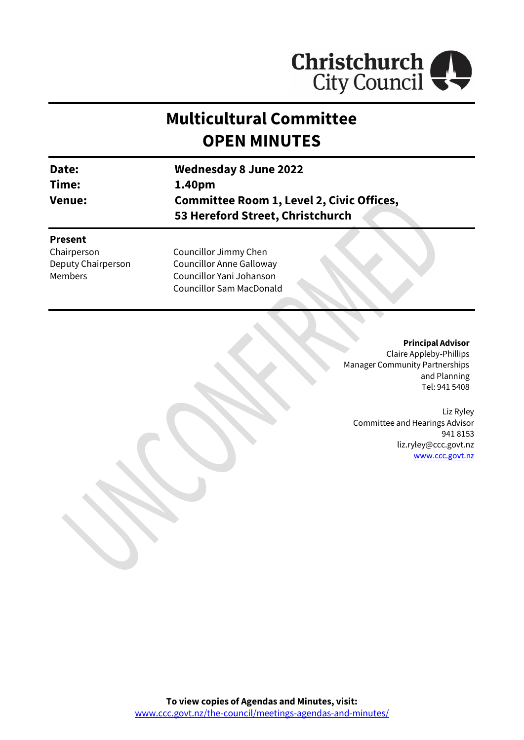

# **Multicultural Committee OPEN MINUTES**

| Date:<br>Time:<br><b>Venue:</b> | <b>Wednesday 8 June 2022</b>                                                         |  |  |
|---------------------------------|--------------------------------------------------------------------------------------|--|--|
|                                 | 1.40pm                                                                               |  |  |
|                                 | <b>Committee Room 1, Level 2, Civic Offices,</b><br>53 Hereford Street, Christchurch |  |  |
| <b>Present</b><br>Chairmarcan   | Councillor limmuchan                                                                 |  |  |

Chairperson Deputy Chairperson Members

Councillor Jimmy Chen Councillor Anne Galloway Councillor Yani Johanson Councillor Sam MacDonald

> **Principal Advisor** Claire Appleby-Phillips Manager Community Partnerships and Planning Tel: 941 5408

Liz Ryley Committee and Hearings Advisor 941 8153 liz.ryley@ccc.govt.nz [www.ccc.govt.nz](http://www.ccc.govt.nz/)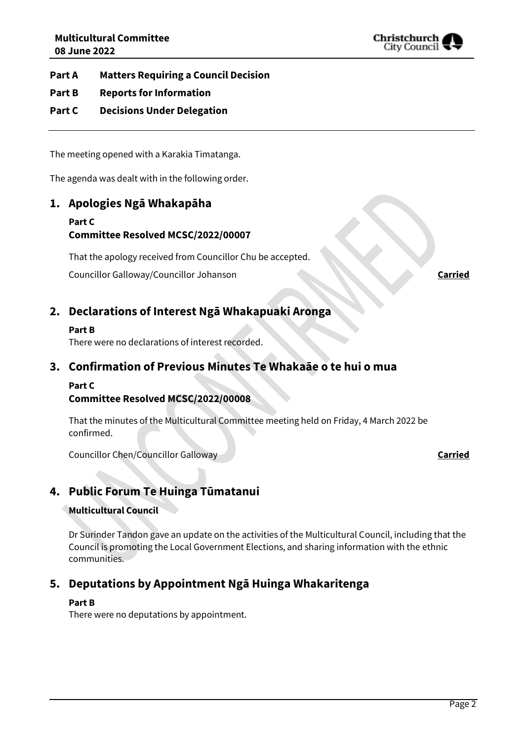

**Part A Matters Requiring a Council Decision**

- **Part B Reports for Information**
- **Part C Decisions Under Delegation**

The meeting opened with a Karakia Timatanga.

The agenda was dealt with in the following order.

# **1. Apologies Ngā Whakapāha**

#### **Part C Committee Resolved MCSC/2022/00007**

That the apology received from Councillor Chu be accepted.

Councillor Galloway/Councillor Johanson **Carried**

# **2. Declarations of Interest Ngā Whakapuaki Aronga**

#### **Part B**

There were no declarations of interest recorded.

# **3. Confirmation of Previous Minutes Te Whakaāe o te hui o mua**

#### **Part C**

## **Committee Resolved MCSC/2022/00008**

That the minutes of the Multicultural Committee meeting held on Friday, 4 March 2022 be confirmed.

Councillor Chen/Councillor Galloway **Carried**

# **4. Public Forum Te Huinga Tūmatanui**

#### **Multicultural Council**

Dr Surinder Tandon gave an update on the activities of the Multicultural Council, including that the Council is promoting the Local Government Elections, and sharing information with the ethnic communities.

# **5. Deputations by Appointment Ngā Huinga Whakaritenga**

#### **Part B**

There were no deputations by appointment.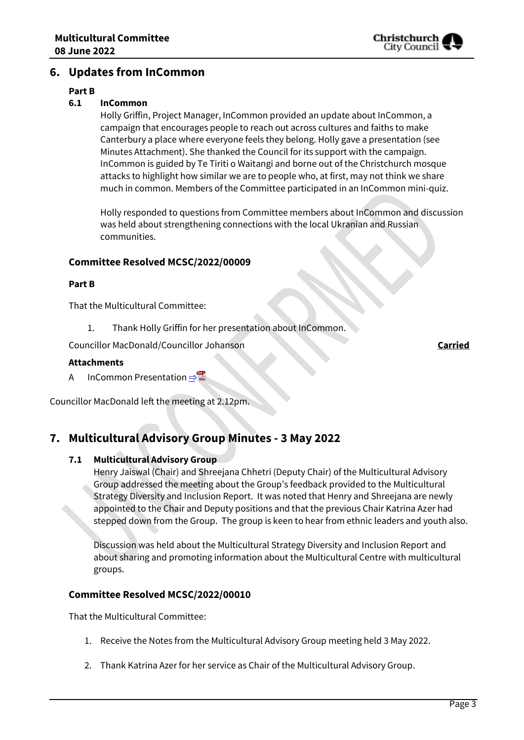

# **6. Updates from InCommon**

#### **Part B**

#### **6.1 InCommon**

Holly Griffin, Project Manager, InCommon provided an update about InCommon, a campaign that encourages people to reach out across cultures and faiths to make Canterbury a place where everyone feels they belong. Holly gave a presentation (see Minutes Attachment). She thanked the Council for its support with the campaign. InCommon is guided by Te Tiriti o Waitangi and borne out of the Christchurch mosque attacks to highlight how similar we are to people who, at first, may not think we share much in common. Members of the Committee participated in an InCommon mini-quiz.

Holly responded to questions from Committee members about InCommon and discussion was held about strengthening connections with the local Ukranian and Russian communities.

#### **Committee Resolved MCSC/2022/00009**

#### **Part B**

That the Multicultural Committee:

1. Thank Holly Griffin for her presentation about InCommon.

Councillor MacDonald/Councillor Johanson **Carried**

#### **Attachments**

A InCommon Presentation ⇒

Councillor MacDonald left the meeting at 2.12pm.

# **7. Multicultural Advisory Group Minutes - 3 May 2022**

#### **7.1 Multicultural Advisory Group**

Henry Jaiswal (Chair) and Shreejana Chhetri (Deputy Chair) of the Multicultural Advisory Group addressed the meeting about the Group's feedback provided to the Multicultural Strategy Diversity and Inclusion Report. It was noted that Henry and Shreejana are newly appointed to the Chair and Deputy positions and that the previous Chair Katrina Azer had stepped down from the Group. The group is keen to hear from ethnic leaders and youth also.

Discussion was held about the Multicultural Strategy Diversity and Inclusion Report and about sharing and promoting information about the Multicultural Centre with multicultural groups.

#### **Committee Resolved MCSC/2022/00010**

That the Multicultural Committee:

- 1. Receive the Notes from the Multicultural Advisory Group meeting held 3 May 2022.
- 2. Thank Katrina Azer for her service as Chair of the Multicultural Advisory Group.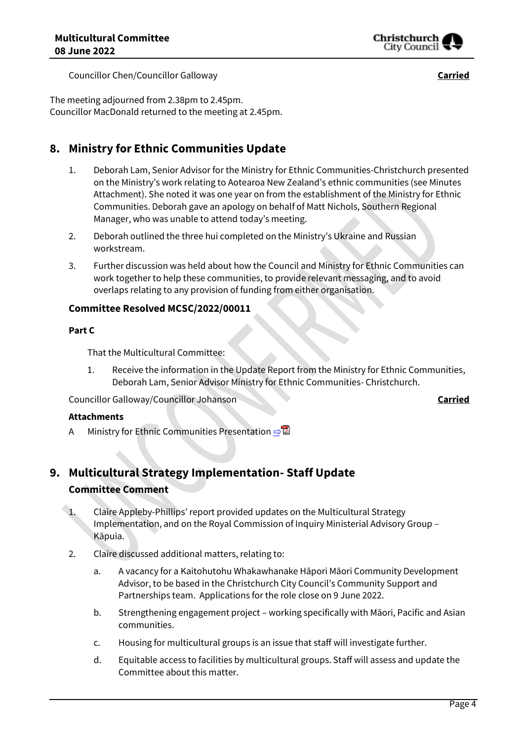

Councillor Chen/Councillor Galloway **Carried**

The meeting adjourned from 2.38pm to 2.45pm. Councillor MacDonald returned to the meeting at 2.45pm.

# **8. Ministry for Ethnic Communities Update**

- 1. Deborah Lam, Senior Advisor for the Ministry for Ethnic Communities-Christchurch presented on the Ministry's work relating to Aotearoa New Zealand's ethnic communities (see Minutes Attachment). She noted it was one year on from the establishment of the Ministry for Ethnic Communities. Deborah gave an apology on behalf of Matt Nichols, Southern Regional Manager, who was unable to attend today's meeting.
- 2. Deborah outlined the three hui completed on the Ministry's Ukraine and Russian workstream.
- 3. Further discussion was held about how the Council and Ministry for Ethnic Communities can work together to help these communities, to provide relevant messaging, and to avoid overlaps relating to any provision of funding from either organisation.

## **Committee Resolved MCSC/2022/00011**

#### **Part C**

That the Multicultural Committee:

1. Receive the information in the Update Report from the Ministry for Ethnic Communities, Deborah Lam, Senior Advisor Ministry for Ethnic Communities- Christchurch.

Councillor Galloway/Councillor Johanson **Carried**

#### **Attachments**

A Ministry for Ethnic Communities Presentation **[⇨](../../../RedirectToInvalidFileName.aspx?FileName=MCSC_20220608_MAT_7532.PDF#PAGE=9)</u>** 

# **9. Multicultural Strategy Implementation- Staff Update Committee Comment**

- 1. Claire Appleby-Phillips' report provided updates on the Multicultural Strategy Implementation, and on the Royal Commission of Inquiry Ministerial Advisory Group – Kāpuia.
- 2. Claire discussed additional matters, relating to:
	- a. A vacancy for a Kaitohutohu Whakawhanake Hāpori Māori Community Development Advisor, to be based in the Christchurch City Council's Community Support and Partnerships team. Applications for the role close on 9 June 2022.
	- b. Strengthening engagement project working specifically with Māori, Pacific and Asian communities.
	- c. Housing for multicultural groups is an issue that staff will investigate further.
	- d. Equitable access to facilities by multicultural groups. Staff will assess and update the Committee about this matter.